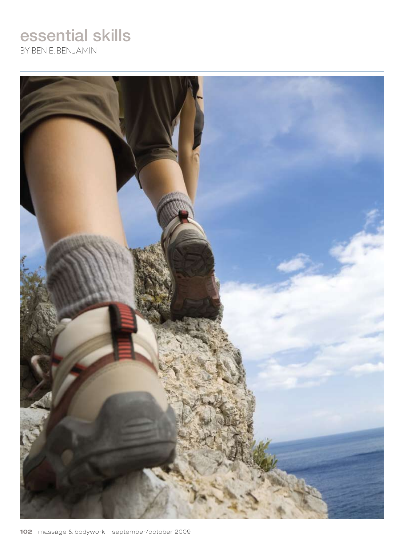# essential skills

By Ben E. Benjamin

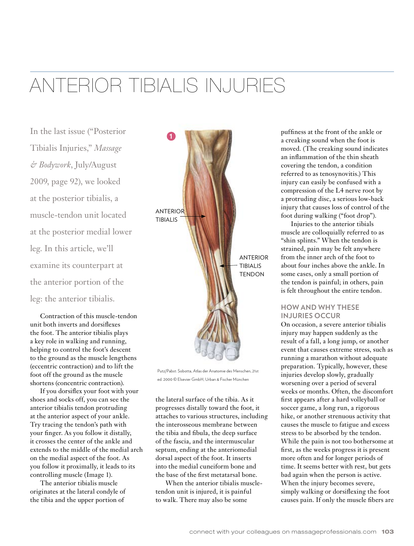# Anterior Tibialis Injuries

In the last issue ("Posterior Tibialis Injuries," *Massage & Bodywork*, July/August 2009, page 92), we looked at the posterior tibialis, a muscle-tendon unit located at the posterior medial lower leg. In this article, we'll examine its counterpart at the anterior portion of the leg: the anterior tibialis.

Contraction of this muscle-tendon unit both inverts and dorsiflexes the foot. The anterior tibialis plays a key role in walking and running, helping to control the foot's descent to the ground as the muscle lengthens (eccentric contraction) and to lift the foot off the ground as the muscle shortens (concentric contraction).

If you dorsiflex your foot with your shoes and socks off, you can see the anterior tibialis tendon protruding at the anterior aspect of your ankle. Try tracing the tendon's path with your finger. As you follow it distally, it crosses the center of the ankle and extends to the middle of the medial arch on the medial aspect of the foot. As you follow it proximally, it leads to its controlling muscle (Image 1).

The anterior tibialis muscle originates at the lateral condyle of the tibia and the upper portion of



Putz/Pabst: Sobotta, Atlas der Anatomie des Menschen, 21st ed. 2000 © Elsevier GmbH, Urban & Fischer München

the lateral surface of the tibia. As it progresses distally toward the foot, it attaches to various structures, including the interosseous membrane between the tibia and fibula, the deep surface of the fascia, and the intermuscular septum, ending at the anteriomedial dorsal aspect of the foot. It inserts into the medial cuneiform bone and the base of the first metatarsal bone.

When the anterior tibialis muscletendon unit is injured, it is painful to walk. There may also be some

puffiness at the front of the ankle or a creaking sound when the foot is moved. (The creaking sound indicates an inflammation of the thin sheath covering the tendon, a condition referred to as tenosynovitis.) This injury can easily be confused with a compression of the L4 nerve root by a protruding disc, a serious low-back injury that causes loss of control of the foot during walking ("foot drop").

Injuries to the anterior tibials muscle are colloquially referred to as "shin splints." When the tendon is strained, pain may be felt anywhere from the inner arch of the foot to about four inches above the ankle. In some cases, only a small portion of the tendon is painful; in others, pain is felt throughout the entire tendon.

# **How and Why These Injuries Occur**

On occasion, a severe anterior tibialis injury may happen suddenly as the result of a fall, a long jump, or another event that causes extreme stress, such as running a marathon without adequate preparation. Typically, however, these injuries develop slowly, gradually worsening over a period of several weeks or months. Often, the discomfort first appears after a hard volleyball or soccer game, a long run, a rigorous hike, or another strenuous activity that causes the muscle to fatigue and excess stress to be absorbed by the tendon. While the pain is not too bothersome at first, as the weeks progress it is present more often and for longer periods of time. It seems better with rest, but gets bad again when the person is active. When the injury becomes severe, simply walking or dorsiflexing the foot causes pain. If only the muscle fibers are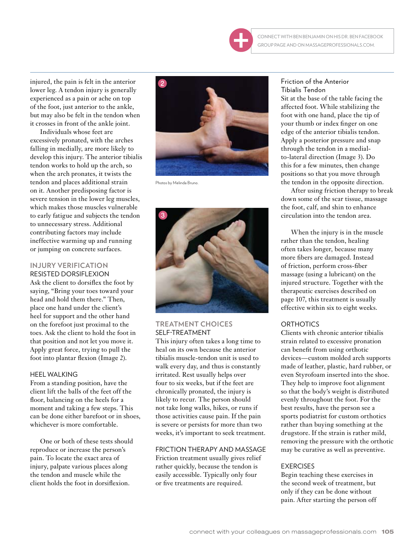

Connect with ben benjamin on his dr. ben facebook group page and on massageprofessionals.com.

injured, the pain is felt in the anterior lower leg. A tendon injury is generally experienced as a pain or ache on top of the foot, just anterior to the ankle, but may also be felt in the tendon when it crosses in front of the ankle joint.

Individuals whose feet are excessively pronated, with the arches falling in medially, are more likely to develop this injury. The anterior tibialis tendon works to hold up the arch, so when the arch pronates, it twists the tendon and places additional strain on it. Another predisposing factor is severe tension in the lower leg muscles, which makes those muscles vulnerable to early fatigue and subjects the tendon to unnecessary stress. Additional contributing factors may include ineffective warming up and running or jumping on concrete surfaces.

### **Injury Verification** Resisted Dorsiflexion

Ask the client to dorsiflex the foot by saying, "Bring your toes toward your head and hold them there." Then, place one hand under the client's heel for support and the other hand on the forefoot just proximal to the toes. Ask the client to hold the foot in that position and not let you move it. Apply great force, trying to pull the foot into plantar flexion (Image 2).

## Heel Walking

From a standing position, have the client lift the balls of the feet off the floor, balancing on the heels for a moment and taking a few steps. This can be done either barefoot or in shoes, whichever is more comfortable.

One or both of these tests should reproduce or increase the person's pain. To locate the exact area of injury, palpate various places along the tendon and muscle while the client holds the foot in dorsiflexion.



Photos by Melinda Bruno.



## **Treatment Choices** Self-Treatment

This injury often takes a long time to heal on its own because the anterior tibialis muscle-tendon unit is used to walk every day, and thus is constantly irritated. Rest usually helps over four to six weeks, but if the feet are chronically pronated, the injury is likely to recur. The person should not take long walks, hikes, or runs if those activities cause pain. If the pain is severe or persists for more than two weeks, it's important to seek treatment.

## Friction Therapy and Massage

Friction treatment usually gives relief rather quickly, because the tendon is easily accessible. Typically only four or five treatments are required.

## Friction of the Anterior Tibialis Tendon

Sit at the base of the table facing the affected foot. While stabilizing the foot with one hand, place the tip of your thumb or index finger on one edge of the anterior tibialis tendon. Apply a posterior pressure and snap through the tendon in a medialto-lateral direction (Image 3). Do this for a few minutes, then change positions so that you move through the tendon in the opposite direction.

After using friction therapy to break down some of the scar tissue, massage the foot, calf, and shin to enhance circulation into the tendon area.

When the injury is in the muscle rather than the tendon, healing often takes longer, because many more fibers are damaged. Instead of friction, perform cross-fiber massage (using a lubricant) on the injured structure. Together with the therapeutic exercises described on page 107, this treatment is usually effective within six to eight weeks.

# **ORTHOTICS**

Clients with chronic anterior tibialis strain related to excessive pronation can benefit from using orthotic devices—custom molded arch supports made of leather, plastic, hard rubber, or even Styrofoam inserted into the shoe. They help to improve foot alignment so that the body's weight is distributed evenly throughout the foot. For the best results, have the person see a sports podiatrist for custom orthotics rather than buying something at the drugstore. If the strain is rather mild, removing the pressure with the orthotic may be curative as well as preventive.

# **EXERCISES**

Begin teaching these exercises in the second week of treatment, but only if they can be done without pain. After starting the person off